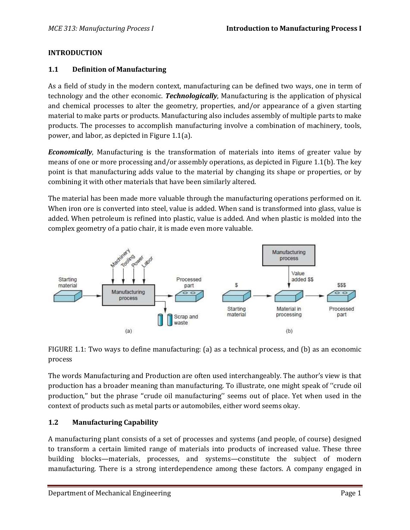### **INTRODUCTION**

## **1.1 Definition of Manufacturing**

As a field of study in the modern context, manufacturing can be defined two ways, one in term of technology and the other economic. *Technologically*, Manufacturing is the application of physical and chemical processes to alter the geometry, properties, and/or appearance of a given starting material to make parts or products. Manufacturing also includes assembly of multiple parts to make products. The processes to accomplish manufacturing involve a combination of machinery, tools, power, and labor, as depicted in Figure 1.1(a).

*Economically*, Manufacturing is the transformation of materials into items of greater value by means of one or more processing and/or assembly operations, as depicted in Figure 1.1(b). The key point is that manufacturing adds value to the material by changing its shape or properties, or by combining it with other materials that have been similarly altered.

The material has been made more valuable through the manufacturing operations performed on it. When iron ore is converted into steel, value is added. When sand is transformed into glass, value is added. When petroleum is refined into plastic, value is added. And when plastic is molded into the complex geometry of a patio chair, it is made even more valuable.





The words Manufacturing and Production are often used interchangeably. The author's view is that production has a broader meaning than manufacturing. To illustrate, one might speak of ''crude oil production,'' but the phrase ''crude oil manufacturing'' seems out of place. Yet when used in the context of products such as metal parts or automobiles, either word seems okay.

# **1.2 Manufacturing Capability**

A manufacturing plant consists of a set of processes and systems (and people, of course) designed to transform a certain limited range of materials into products of increased value. These three building blocks—materials, processes, and systems—constitute the subject of modern manufacturing. There is a strong interdependence among these factors. A company engaged in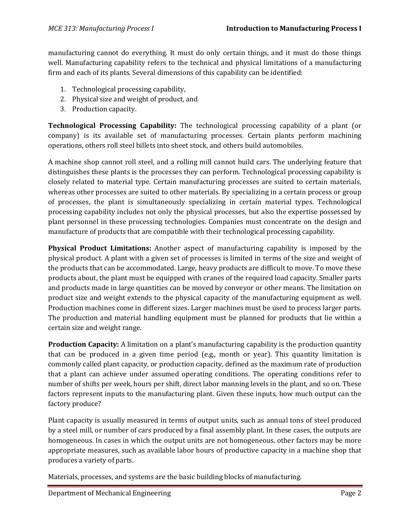manufacturing cannot do everything. It must do only certain things, and it must do those things well. Manufacturing capability refers to the technical and physical limitations of a manufacturing firm and each of its plants. Several dimensions of this capability can be identified:

- 1. Technological processing capability,
- 2. Physical size and weight of product, and
- 3. Production capacity.

**Technological Processing Capability:** The technological processing capability of a plant (or company) is its available set of manufacturing processes. Certain plants perform machining operations, others roll steel billets into sheet stock, and others build automobiles.

A machine shop cannot roll steel, and a rolling mill cannot build cars. The underlying feature that distinguishes these plants is the processes they can perform. Technological processing capability is closely related to material type. Certain manufacturing processes are suited to certain materials, whereas other processes are suited to other materials. By specializing in a certain process or group of processes, the plant is simultaneously specializing in certain material types. Technological processing capability includes not only the physical processes, but also the expertise possessed by plant personnel in these processing technologies. Companies must concentrate on the design and manufacture of products that are compatible with their technological processing capability.

**Physical Product Limitations:** Another aspect of manufacturing capability is imposed by the physical product. A plant with a given set of processes is limited in terms of the size and weight of the products that can be accommodated. Large, heavy products are difficult to move. To move these products about, the plant must be equipped with cranes of the required load capacity. Smaller parts and products made in large quantities can be moved by conveyor or other means. The limitation on product size and weight extends to the physical capacity of the manufacturing equipment as well. Production machines come in different sizes. Larger machines must be used to process larger parts. The production and material handling equipment must be planned for products that lie within a certain size and weight range.

**Production Capacity:** A limitation on a plant's manufacturing capability is the production quantity that can be produced in a given time period (e.g., month or year). This quantity limitation is commonly called plant capacity, or production capacity, defined as the maximum rate of production that a plant can achieve under assumed operating conditions. The operating conditions refer to number of shifts per week, hours per shift, direct labor manning levels in the plant, and so on. These factors represent inputs to the manufacturing plant. Given these inputs, how much output can the factory produce?

Plant capacity is usually measured in terms of output units, such as annual tons of steel produced by a steel mill, or number of cars produced by a final assembly plant. In these cases, the outputs are homogeneous. In cases in which the output units are not homogeneous, other factors may be more appropriate measures, such as available labor hours of productive capacity in a machine shop that produces a variety of parts.

Materials, processes, and systems are the basic building blocks of manufacturing.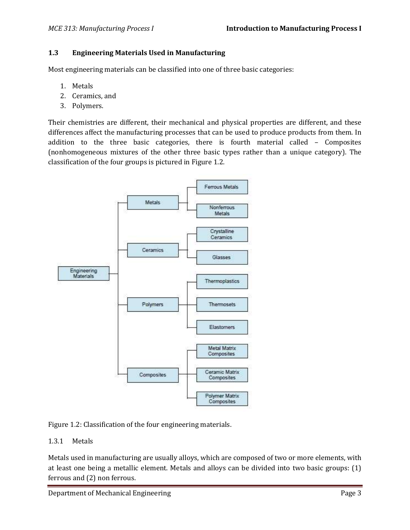## **1.3 Engineering Materials Used in Manufacturing**

Most engineering materials can be classified into one of three basic categories:

- 1. Metals
- 2. Ceramics, and
- 3. Polymers.

Their chemistries are different, their mechanical and physical properties are different, and these differences affect the manufacturing processes that can be used to produce products from them. In addition to the three basic categories, there is fourth material called – Composites (nonhomogeneous mixtures of the other three basic types rather than a unique category). The classification of the four groups is pictured in Figure 1.2.



Figure 1.2: Classification of the four engineering materials.

### 1.3.1 Metals

Metals used in manufacturing are usually alloys, which are composed of two or more elements, with at least one being a metallic element. Metals and alloys can be divided into two basic groups: (1) ferrous and (2) non ferrous.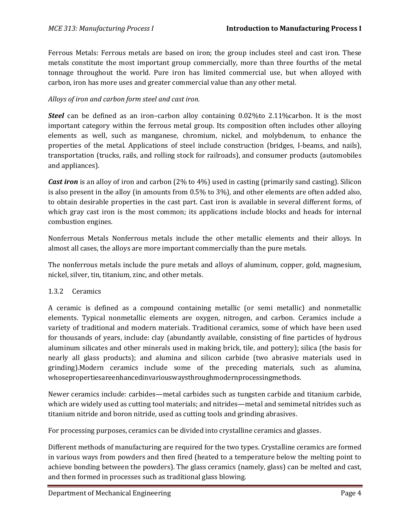Ferrous Metals: Ferrous metals are based on iron; the group includes steel and cast iron. These metals constitute the most important group commercially, more than three fourths of the metal tonnage throughout the world. Pure iron has limited commercial use, but when alloyed with carbon, iron has more uses and greater commercial value than any other metal.

### *Alloys of iron and carbon form steel and cast iron.*

*Steel* can be defined as an iron–carbon alloy containing 0.02%to 2.11%carbon. It is the most important category within the ferrous metal group. Its composition often includes other alloying elements as well, such as manganese, chromium, nickel, and molybdenum, to enhance the properties of the metal. Applications of steel include construction (bridges, I-beams, and nails), transportation (trucks, rails, and rolling stock for railroads), and consumer products (automobiles and appliances).

*Cast iron* is an alloy of iron and carbon (2% to 4%) used in casting (primarily sand casting). Silicon is also present in the alloy (in amounts from 0.5% to 3%), and other elements are often added also, to obtain desirable properties in the cast part. Cast iron is available in several different forms, of which gray cast iron is the most common; its applications include blocks and heads for internal combustion engines.

Nonferrous Metals Nonferrous metals include the other metallic elements and their alloys. In almost all cases, the alloys are more important commercially than the pure metals.

The nonferrous metals include the pure metals and alloys of aluminum, copper, gold, magnesium, nickel, silver, tin, titanium, zinc, and other metals.

### 1.3.2 Ceramics

A ceramic is defined as a compound containing metallic (or semi metallic) and nonmetallic elements. Typical nonmetallic elements are oxygen, nitrogen, and carbon. Ceramics include a variety of traditional and modern materials. Traditional ceramics, some of which have been used for thousands of years, include: clay (abundantly available, consisting of fine particles of hydrous aluminum silicates and other minerals used in making brick, tile, and pottery); silica (the basis for nearly all glass products); and alumina and silicon carbide (two abrasive materials used in grinding).Modern ceramics include some of the preceding materials, such as alumina, whosepropertiesareenhancedinvariouswaysthroughmodernprocessingmethods.

Newer ceramics include: carbides—metal carbides such as tungsten carbide and titanium carbide, which are widely used as cutting tool materials; and nitrides—metal and semimetal nitrides such as titanium nitride and boron nitride, used as cutting tools and grinding abrasives.

For processing purposes, ceramics can be divided into crystalline ceramics and glasses.

Different methods of manufacturing are required for the two types. Crystalline ceramics are formed in various ways from powders and then fired (heated to a temperature below the melting point to achieve bonding between the powders). The glass ceramics (namely, glass) can be melted and cast, and then formed in processes such as traditional glass blowing.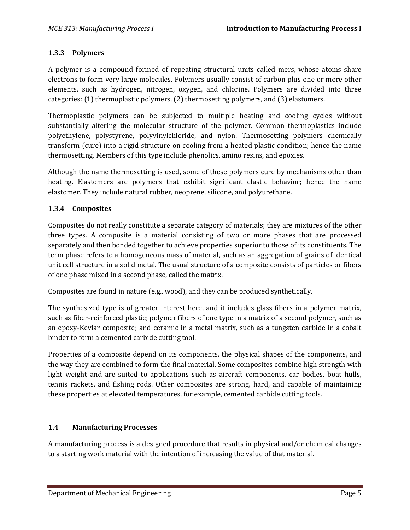### **1.3.3 Polymers**

A polymer is a compound formed of repeating structural units called mers, whose atoms share electrons to form very large molecules. Polymers usually consist of carbon plus one or more other elements, such as hydrogen, nitrogen, oxygen, and chlorine. Polymers are divided into three categories: (1) thermoplastic polymers, (2) thermosetting polymers, and (3) elastomers.

Thermoplastic polymers can be subjected to multiple heating and cooling cycles without substantially altering the molecular structure of the polymer. Common thermoplastics include polyethylene, polystyrene, polyvinylchloride, and nylon. Thermosetting polymers chemically transform (cure) into a rigid structure on cooling from a heated plastic condition; hence the name thermosetting. Members of this type include phenolics, amino resins, and epoxies.

Although the name thermosetting is used, some of these polymers cure by mechanisms other than heating. Elastomers are polymers that exhibit significant elastic behavior; hence the name elastomer. They include natural rubber, neoprene, silicone, and polyurethane.

### **1.3.4 Composites**

Composites do not really constitute a separate category of materials; they are mixtures of the other three types. A composite is a material consisting of two or more phases that are processed separately and then bonded together to achieve properties superior to those of its constituents. The term phase refers to a homogeneous mass of material, such as an aggregation of grains of identical unit cell structure in a solid metal. The usual structure of a composite consists of particles or fibers of one phase mixed in a second phase, called the matrix.

Composites are found in nature (e.g., wood), and they can be produced synthetically.

The synthesized type is of greater interest here, and it includes glass fibers in a polymer matrix, such as fiber-reinforced plastic; polymer fibers of one type in a matrix of a second polymer, such as an epoxy-Kevlar composite; and ceramic in a metal matrix, such as a tungsten carbide in a cobalt binder to form a cemented carbide cutting tool.

Properties of a composite depend on its components, the physical shapes of the components, and the way they are combined to form the final material. Some composites combine high strength with light weight and are suited to applications such as aircraft components, car bodies, boat hulls, tennis rackets, and fishing rods. Other composites are strong, hard, and capable of maintaining these properties at elevated temperatures, for example, cemented carbide cutting tools.

# **1.4 Manufacturing Processes**

A manufacturing process is a designed procedure that results in physical and/or chemical changes to a starting work material with the intention of increasing the value of that material.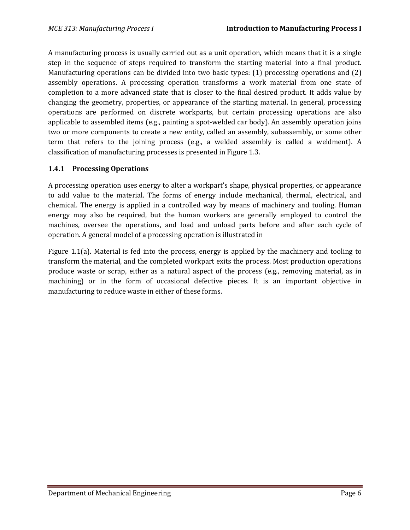A manufacturing process is usually carried out as a unit operation, which means that it is a single step in the sequence of steps required to transform the starting material into a final product. Manufacturing operations can be divided into two basic types: (1) processing operations and (2) assembly operations. A processing operation transforms a work material from one state of completion to a more advanced state that is closer to the final desired product. It adds value by changing the geometry, properties, or appearance of the starting material. In general, processing operations are performed on discrete workparts, but certain processing operations are also applicable to assembled items (e.g., painting a spot-welded car body). An assembly operation joins two or more components to create a new entity, called an assembly, subassembly, or some other term that refers to the joining process (e.g., a welded assembly is called a weldment). A classification of manufacturing processes is presented in Figure 1.3.

### **1.4.1 Processing Operations**

A processing operation uses energy to alter a workpart's shape, physical properties, or appearance to add value to the material. The forms of energy include mechanical, thermal, electrical, and chemical. The energy is applied in a controlled way by means of machinery and tooling. Human energy may also be required, but the human workers are generally employed to control the machines, oversee the operations, and load and unload parts before and after each cycle of operation. A general model of a processing operation is illustrated in

Figure 1.1(a). Material is fed into the process, energy is applied by the machinery and tooling to transform the material, and the completed workpart exits the process. Most production operations produce waste or scrap, either as a natural aspect of the process (e.g., removing material, as in machining) or in the form of occasional defective pieces. It is an important objective in manufacturing to reduce waste in either of these forms.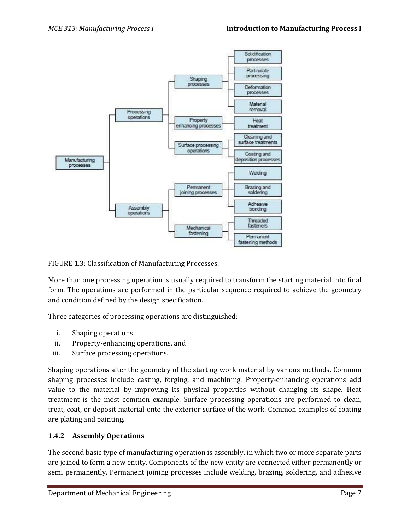

FIGURE 1.3: Classification of Manufacturing Processes.

More than one processing operation is usually required to transform the starting material into final form. The operations are performed in the particular sequence required to achieve the geometry and condition defined by the design specification.

Three categories of processing operations are distinguished:

- i. Shaping operations
- ii. Property-enhancing operations, and
- iii. Surface processing operations.

Shaping operations alter the geometry of the starting work material by various methods. Common shaping processes include casting, forging, and machining. Property-enhancing operations add value to the material by improving its physical properties without changing its shape. Heat treatment is the most common example. Surface processing operations are performed to clean, treat, coat, or deposit material onto the exterior surface of the work. Common examples of coating are plating and painting.

### **1.4.2 Assembly Operations**

The second basic type of manufacturing operation is assembly, in which two or more separate parts are joined to form a new entity. Components of the new entity are connected either permanently or semi permanently. Permanent joining processes include welding, brazing, soldering, and adhesive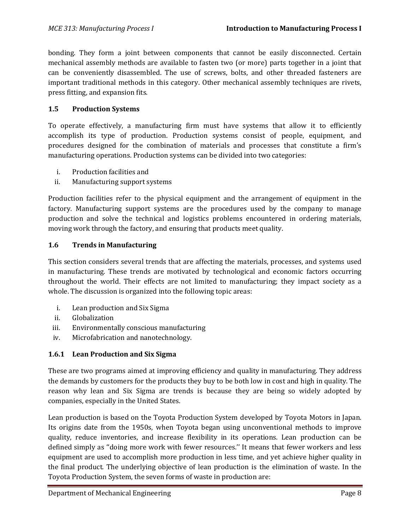bonding. They form a joint between components that cannot be easily disconnected. Certain mechanical assembly methods are available to fasten two (or more) parts together in a joint that can be conveniently disassembled. The use of screws, bolts, and other threaded fasteners are important traditional methods in this category. Other mechanical assembly techniques are rivets, press fitting, and expansion fits.

### **1.5 Production Systems**

To operate effectively, a manufacturing firm must have systems that allow it to efficiently accomplish its type of production. Production systems consist of people, equipment, and procedures designed for the combination of materials and processes that constitute a firm's manufacturing operations. Production systems can be divided into two categories:

- i. Production facilities and
- ii. Manufacturing support systems

Production facilities refer to the physical equipment and the arrangement of equipment in the factory. Manufacturing support systems are the procedures used by the company to manage production and solve the technical and logistics problems encountered in ordering materials, moving work through the factory, and ensuring that products meet quality.

### **1.6 Trends in Manufacturing**

This section considers several trends that are affecting the materials, processes, and systems used in manufacturing. These trends are motivated by technological and economic factors occurring throughout the world. Their effects are not limited to manufacturing; they impact society as a whole. The discussion is organized into the following topic areas:

- i. Lean production and Six Sigma
- ii. Globalization
- iii. Environmentally conscious manufacturing
- iv. Microfabrication and nanotechnology.

# **1.6.1 Lean Production and Six Sigma**

These are two programs aimed at improving efficiency and quality in manufacturing. They address the demands by customers for the products they buy to be both low in cost and high in quality. The reason why lean and Six Sigma are trends is because they are being so widely adopted by companies, especially in the United States.

Lean production is based on the Toyota Production System developed by Toyota Motors in Japan. Its origins date from the 1950s, when Toyota began using unconventional methods to improve quality, reduce inventories, and increase flexibility in its operations. Lean production can be defined simply as ''doing more work with fewer resources.'' It means that fewer workers and less equipment are used to accomplish more production in less time, and yet achieve higher quality in the final product. The underlying objective of lean production is the elimination of waste. In the Toyota Production System, the seven forms of waste in production are: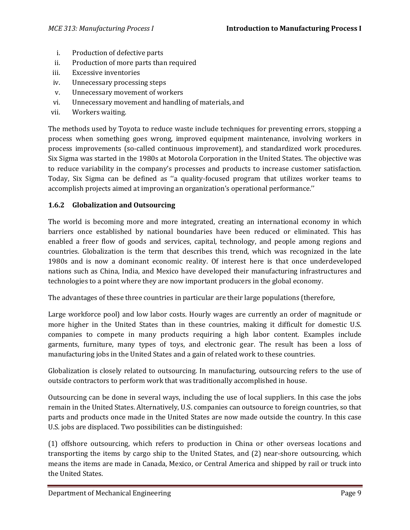- i. Production of defective parts
- ii. Production of more parts than required
- iii. Excessive inventories
- iv. Unnecessary processing steps
- v. Unnecessary movement of workers
- vi. Unnecessary movement and handling of materials, and
- vii. Workers waiting.

The methods used by Toyota to reduce waste include techniques for preventing errors, stopping a process when something goes wrong, improved equipment maintenance, involving workers in process improvements (so-called continuous improvement), and standardized work procedures. Six Sigma was started in the 1980s at Motorola Corporation in the United States. The objective was to reduce variability in the company's processes and products to increase customer satisfaction. Today, Six Sigma can be defined as ''a quality-focused program that utilizes worker teams to accomplish projects aimed at improving an organization's operational performance.''

### **1.6.2 Globalization and Outsourcing**

The world is becoming more and more integrated, creating an international economy in which barriers once established by national boundaries have been reduced or eliminated. This has enabled a freer flow of goods and services, capital, technology, and people among regions and countries. Globalization is the term that describes this trend, which was recognized in the late 1980s and is now a dominant economic reality. Of interest here is that once underdeveloped nations such as China, India, and Mexico have developed their manufacturing infrastructures and technologies to a point where they are now important producers in the global economy.

The advantages of these three countries in particular are their large populations (therefore,

Large workforce pool) and low labor costs. Hourly wages are currently an order of magnitude or more higher in the United States than in these countries, making it difficult for domestic U.S. companies to compete in many products requiring a high labor content. Examples include garments, furniture, many types of toys, and electronic gear. The result has been a loss of manufacturing jobs in the United States and a gain of related work to these countries.

Globalization is closely related to outsourcing. In manufacturing, outsourcing refers to the use of outside contractors to perform work that was traditionally accomplished in house.

Outsourcing can be done in several ways, including the use of local suppliers. In this case the jobs remain in the United States. Alternatively, U.S. companies can outsource to foreign countries, so that parts and products once made in the United States are now made outside the country. In this case U.S. jobs are displaced. Two possibilities can be distinguished:

(1) offshore outsourcing, which refers to production in China or other overseas locations and transporting the items by cargo ship to the United States, and (2) near-shore outsourcing, which means the items are made in Canada, Mexico, or Central America and shipped by rail or truck into the United States.